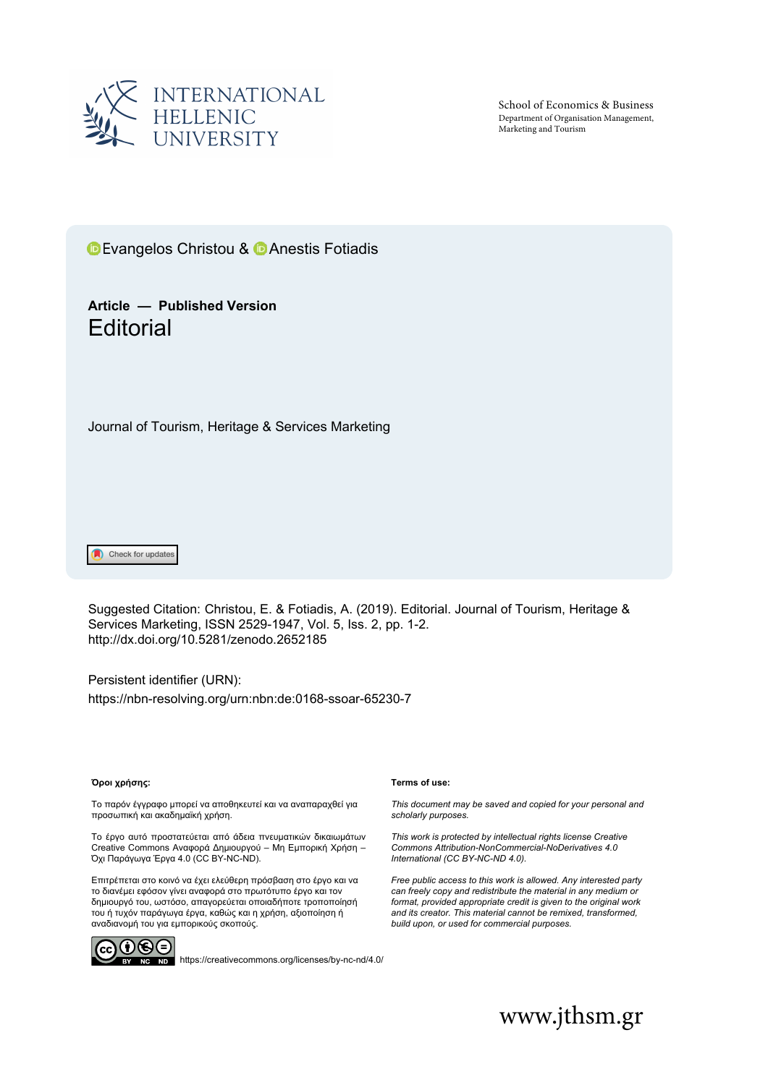

School of Economics & Business Department of Organisation Management, Marketing and Tourism

**D**Evangelos Christou & **D** Anestis Fotiadis

## **Article — Published Version Editorial**

Journal of Tourism, Heritage & Services Marketing

Check for updates

Suggested Citation: Christou, E. & Fotiadis, A. (2019). Editorial. Journal of Tourism, Heritage & Services Marketing, ISSN 2529-1947, Vol. 5, Iss. 2, pp. 1-2. [http://dx.doi.org/10.5281/zenodo.](http://dx.doi.org/10.5281/zenodo.2652185)2652185

Persistent identifier (URN): <https://nbn-resolving.org/urn:nbn:de:0168-ssoar-65230-7>

### **Όροι χρήσης:**

Το παρόν έγγραφο μπορεί να αποθηκευτεί και να αναπαραχθεί για προσωπική και ακαδημαϊκή χρήση.

Το έργο αυτό προστατεύεται από άδεια πνευματικών δικαιωμάτων Creative Commons Αναφορά Δημιουργού – Μη Εμπορική Χρήση – Όχι Παράγωγα Έργα 4.0 (CC BY-NC-ND).

Επιτρέπεται στο κοινό να έχει ελεύθερη πρόσβαση στο έργο και να το διανέμει εφόσον γίνει αναφορά στο πρωτότυπο έργο και τον δημιουργό του, ωστόσο, απαγορεύεται οποιαδήποτε τροποποίησή του ή τυχόν παράγωγα έργα, καθώς και η χρήση, αξιοποίηση ή αναδιανομή του για εμπορικούς σκοπούς.



<https://creativecommons.org/licenses/by-nc-nd/4.0/>

#### **Terms of use:**

*This document may be saved and copied for your personal and scholarly purposes.*

*This work is protected by intellectual rights license Creative Commons Attribution-NonCommercial-NoDerivatives 4.0 International (CC BY-NC-ND 4.0).*

*Free public access to this work is allowed. Any interested party can freely copy and redistribute the material in any medium or format, provided appropriate credit is given to the original work and its creator. This material cannot be remixed, transformed, build upon, or used for commercial purposes.*

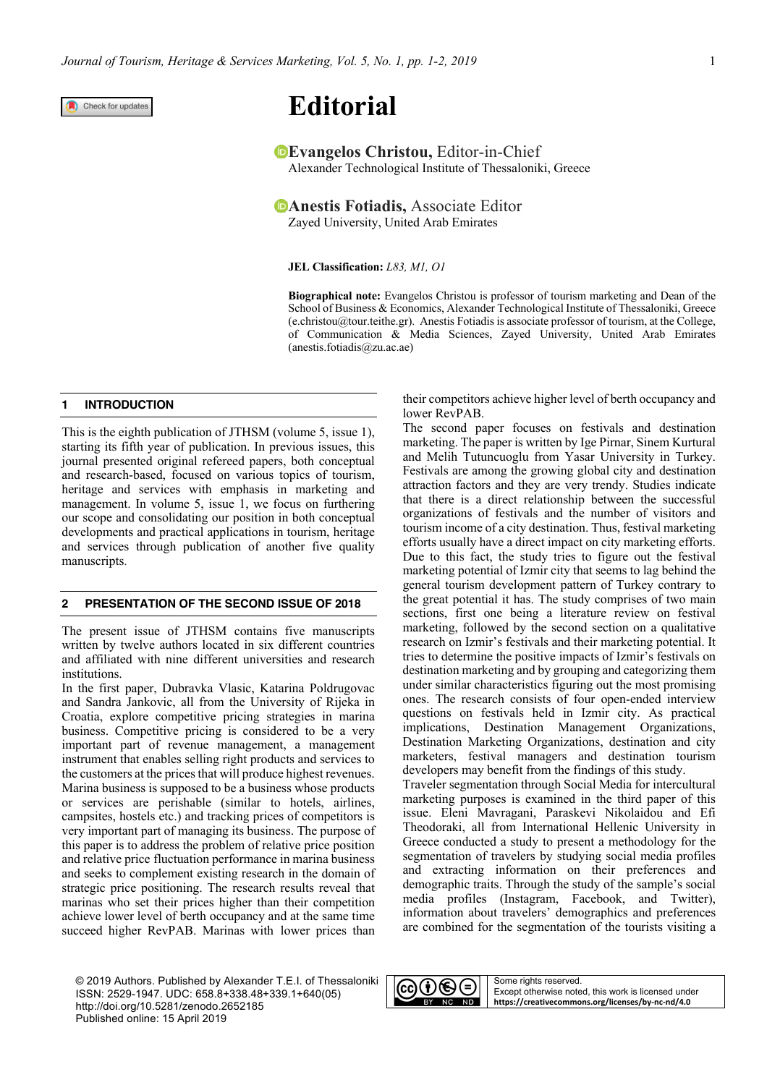Check for updates

# **Editorial**

**Evangelos Christou, Editor-in-Chief** Alexander Technological Institute of Thessaloniki, Greece

**PAnestis Fotiadis, Associate Editor** Zayed University, United Arab Emirates

**JEL Classification:** *L83, M1, O1*

**Biographical note:** Evangelos Christou is professor of tourism marketing and Dean of the School of Business & Economics, Alexander Technological Institute of Thessaloniki, Greece ([e.christou@tour.teithe.gr\). A](mailto:e.christou@tour.teithe.gr)nestis Fotiadis is associate professor of tourism, at the College, of Communication & Media Sciences, Zayed University, United Arab Emirates ([anestis.fotiadis@zu.ac.ae\)](mailto:anestis.fotiadis@zu.ac.ae)

### **1 INTRODUCTION**

This is the eighth publication of JTHSM (volume 5, issue 1), starting its fifth year of publication. In previous issues, this journal presented original refereed papers, both conceptual and research-based, focused on various topics of tourism, heritage and services with emphasis in marketing and management. In volume 5, issue 1, we focus on furthering our scope and consolidating our position in both conceptual developments and practical applications in tourism, heritage and services through publication of another five quality manuscripts.

### **2 PRESENTATION OF THE SECOND ISSUE OF 2018**

The present issue of JTHSM contains five manuscripts written by twelve authors located in six different countries and affiliated with nine different universities and research institutions.

In the first paper, Dubravka Vlasic, Katarina Poldrugovac and Sandra Jankovic, all from the University of Rijeka in Croatia, explore competitive pricing strategies in marina business. Competitive pricing is considered to be a very important part of revenue management, a management instrument that enables selling right products and services to the customers at the prices that will produce highest revenues. Marina business is supposed to be a business whose products or services are perishable (similar to hotels, airlines, campsites, hostels etc.) and tracking prices of competitors is very important part of managing its business. The purpose of this paper is to address the problem of relative price position and relative price fluctuation performance in marina business and seeks to complement existing research in the domain of strategic price positioning. The research results reveal that marinas who set their prices higher than their competition achieve lower level of berth occupancy and at the same time succeed higher RevPAB. Marinas with lower prices than their competitors achieve higher level of berth occupancy and lower RevPAB.

The second paper focuses on festivals and destination marketing. The paper is written by Ige Pirnar, Sinem Kurtural and Melih Tutuncuoglu from Yasar University in Turkey. Festivals are among the growing global city and destination attraction factors and they are very trendy. Studies indicate that there is a direct relationship between the successful organizations of festivals and the number of visitors and tourism income of a city destination. Thus, festival marketing efforts usually have a direct impact on city marketing efforts. Due to this fact, the study tries to figure out the festival marketing potential of Izmir city that seems to lag behind the general tourism development pattern of Turkey contrary to the great potential it has. The study comprises of two main sections, first one being a literature review on festival marketing, followed by the second section on a qualitative research on Izmir's festivals and their marketing potential. It tries to determine the positive impacts of Izmir's festivals on destination marketing and by grouping and categorizing them under similar characteristics figuring out the most promising ones. The research consists of four open-ended interview questions on festivals held in Izmir city. As practical implications, Destination Management Organizations, Destination Marketing Organizations, destination and city marketers, festival managers and destination tourism developers may benefit from the findings of this study.

Traveler segmentation through Social Media for intercultural marketing purposes is examined in the third paper of this issue. Eleni Mavragani, Paraskevi Nikolaidou and Efi Theodoraki, all from International Hellenic University in Greece conducted a study to present a methodology for the segmentation of travelers by studying social media profiles and extracting information on their preferences and demographic traits. Through the study of the sample's social media profiles (Instagram, Facebook, and Twitter), information about travelers' demographics and preferences are combined for the segmentation of the tourists visiting a

© 2019 Authors. Published by Alexander T.E.I. of Thessaloniki ISSN: 2529-1947. UDC: 658.8+338.48+339.1+640(05) <http://doi.org/10.5281/zenodo.2652185> Published online: 15 April 2019